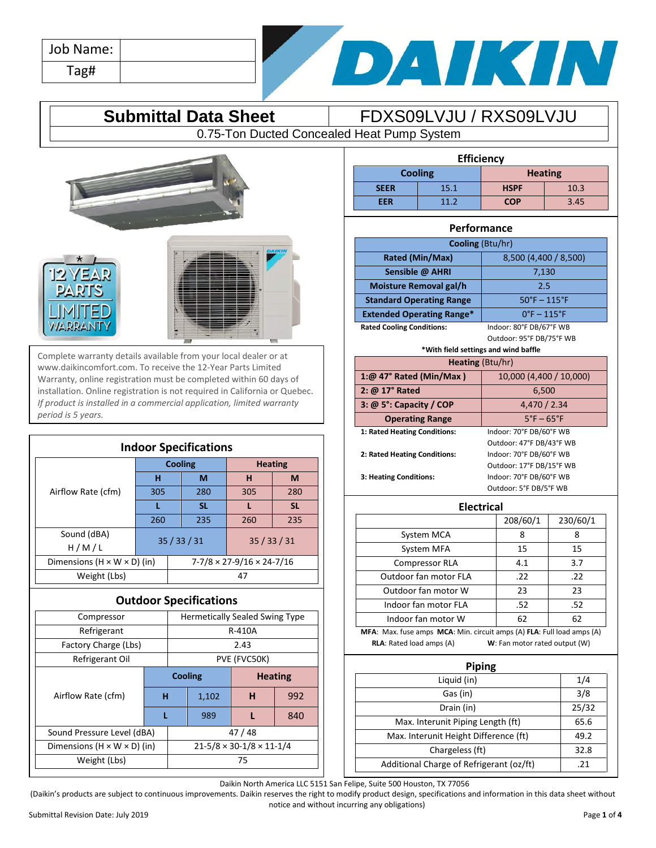| Job Name: |  |
|-----------|--|
| Tag#      |  |



## **Submittal Data Sheet** FDXS09LVJU / RXS09LVJU

0.75-Ton Ducted Concealed Heat Pump System







Complete warranty details available from your local dealer or at www.daikincomfort.com. To receive the 12-Year Parts Limited Warranty, online registration must be completed within 60 days of installation. Online registration is not required in California or Quebec. *If product is installed in a commercial application, limited warranty period is 5 years.*

| <b>Indoor Specifications</b>            |          |  |                |                                       |           |  |
|-----------------------------------------|----------|--|----------------|---------------------------------------|-----------|--|
|                                         |          |  | <b>Cooling</b> | <b>Heating</b>                        |           |  |
|                                         | н        |  | M              | н                                     | M         |  |
| Airflow Rate (cfm)                      | 305      |  | 280            | 305                                   | 280       |  |
|                                         |          |  | <b>SL</b>      |                                       | <b>SL</b> |  |
|                                         | 260      |  | 235            | 260                                   | 235       |  |
| Sound (dBA)                             | 35/33/31 |  | 35/33/31       |                                       |           |  |
| H/M/L                                   |          |  |                |                                       |           |  |
| Dimensions $(H \times W \times D)$ (in) |          |  |                | $7-7/8 \times 27-9/16 \times 24-7/16$ |           |  |
| Weight (Lbs)                            |          |  |                | 47                                    |           |  |

### **Outdoor Specifications**

| Compressor                              |                            |  | <b>Hermetically Sealed Swing Type</b>      |   |     |
|-----------------------------------------|----------------------------|--|--------------------------------------------|---|-----|
| Refrigerant                             |                            |  | R-410A                                     |   |     |
| Factory Charge (Lbs)                    | 2.43                       |  |                                            |   |     |
| Refrigerant Oil                         |                            |  | PVE (FVC50K)                               |   |     |
|                                         | <b>Cooling</b>             |  | <b>Heating</b>                             |   |     |
| Airflow Rate (cfm)                      | н                          |  | 1,102                                      | н | 992 |
|                                         |                            |  | 989                                        |   | 840 |
|                                         | Sound Pressure Level (dBA) |  | 47/48                                      |   |     |
| Dimensions $(H \times W \times D)$ (in) |                            |  | $21 - 5/8 \times 30 - 1/8 \times 11 - 1/4$ |   |     |
| Weight (Lbs)                            | 75                         |  |                                            |   |     |
|                                         |                            |  |                                            |   |     |

| <b>Efficiency</b>                |                 |             |      |  |
|----------------------------------|-----------------|-------------|------|--|
| <b>Cooling</b><br><b>Heating</b> |                 |             |      |  |
| <b>SEER</b>                      | 15.1            | <b>HSPF</b> | 10.3 |  |
| <b>EER</b>                       | 11 <sub>2</sub> | <b>COP</b>  | 3.45 |  |

### **Performance**

| <b>Cooling (Btu/hr)</b>                                          |                         |  |  |
|------------------------------------------------------------------|-------------------------|--|--|
| Rated (Min/Max)                                                  | 8,500 (4,400 / 8,500)   |  |  |
| Sensible @ AHRI                                                  | 7,130                   |  |  |
| Moisture Removal gal/h<br>2.5                                    |                         |  |  |
| $50^{\circ}$ F - 115°F<br><b>Standard Operating Range</b>        |                         |  |  |
| $0^\circ$ F - 115 $^\circ$ F<br><b>Extended Operating Range*</b> |                         |  |  |
| <b>Rated Cooling Conditions:</b>                                 | Indoor: 80°F DB/67°F WB |  |  |

Outdoor: 95°F DB/75°F WB

| *With field settings and wind baffle                   |                          |  |  |
|--------------------------------------------------------|--------------------------|--|--|
| <b>Heating (Btu/hr)</b>                                |                          |  |  |
| 1:@ 47° Rated (Min/Max)                                | 10,000 (4,400 / 10,000)  |  |  |
| 2: @ 17° Rated                                         | 6,500                    |  |  |
| $3: @ 5$ <sup>o</sup> : Capacity / COP<br>4,470 / 2.34 |                          |  |  |
| $5^\circ$ F – 65 $^\circ$ F<br><b>Operating Range</b>  |                          |  |  |
| 1: Rated Heating Conditions:                           | Indoor: 70°F DB/60°F WB  |  |  |
|                                                        | Outdoor: 47°F DB/43°F WB |  |  |
| 2: Rated Heating Conditions:                           | Indoor: 70°F DB/60°F WB  |  |  |
|                                                        | Outdoor: 17°F DB/15°F WB |  |  |
| 3: Heating Conditions:                                 | Indoor: 70°F DB/60°F WB  |  |  |
| Outdoor: 5°F DB/5°F WB                                 |                          |  |  |

**Electrical**

|                                                                        | 208/60/1 | 230/60/1 |  |
|------------------------------------------------------------------------|----------|----------|--|
| System MCA                                                             | 8        | 8        |  |
| System MFA                                                             | 15       | 15       |  |
| Compressor RLA                                                         | 4.1      | 3.7      |  |
| Outdoor fan motor FLA                                                  | .22      | .22      |  |
| Outdoor fan motor W                                                    | 23       | 23       |  |
| Indoor fan motor FLA                                                   | .52      | .52      |  |
| Indoor fan motor W                                                     | 62       | 62       |  |
| MFA: Max. fuse amps MCA: Min. circuit amps (A) FLA: Full load amps (A) |          |          |  |

**RLA**: Rated load amps (A) **W**: Fan motor rated output (W)

| <b>Piping</b>                            |       |  |  |
|------------------------------------------|-------|--|--|
| Liquid (in)                              | 1/4   |  |  |
| Gas (in)                                 | 3/8   |  |  |
| Drain (in)                               | 25/32 |  |  |
| Max. Interunit Piping Length (ft)        | 65.6  |  |  |
| Max. Interunit Height Difference (ft)    | 49.2  |  |  |
| Chargeless (ft)                          | 32.8  |  |  |
| Additional Charge of Refrigerant (oz/ft) | 21    |  |  |

Daikin North America LLC 5151 San Felipe, Suite 500 Houston, TX 77056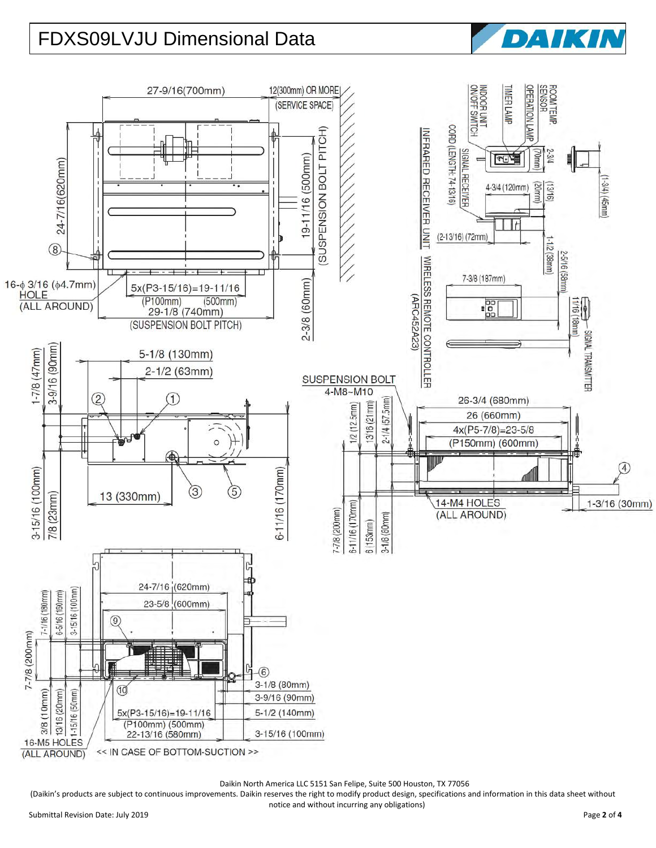# FDXS09LVJU Dimensional Data



Daikin North America LLC 5151 San Felipe, Suite 500 Houston, TX 77056

(Daikin's products are subject to continuous improvements. Daikin reserves the right to modify product design, specifications and information in this data sheet without

DATKI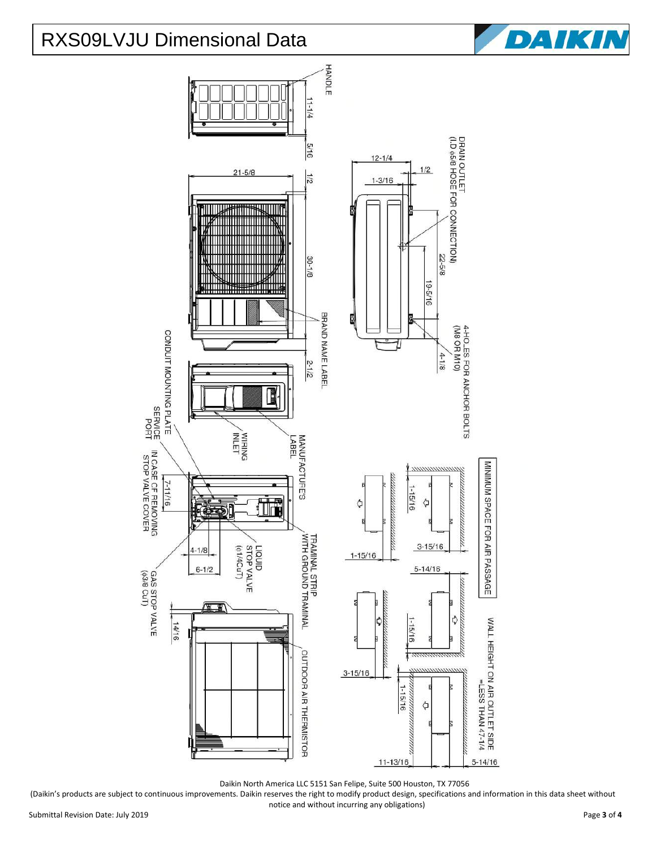## RXS09LVJU Dimensional Data





Daikin North America LLC 5151 San Felipe, Suite 500 Houston, TX 77056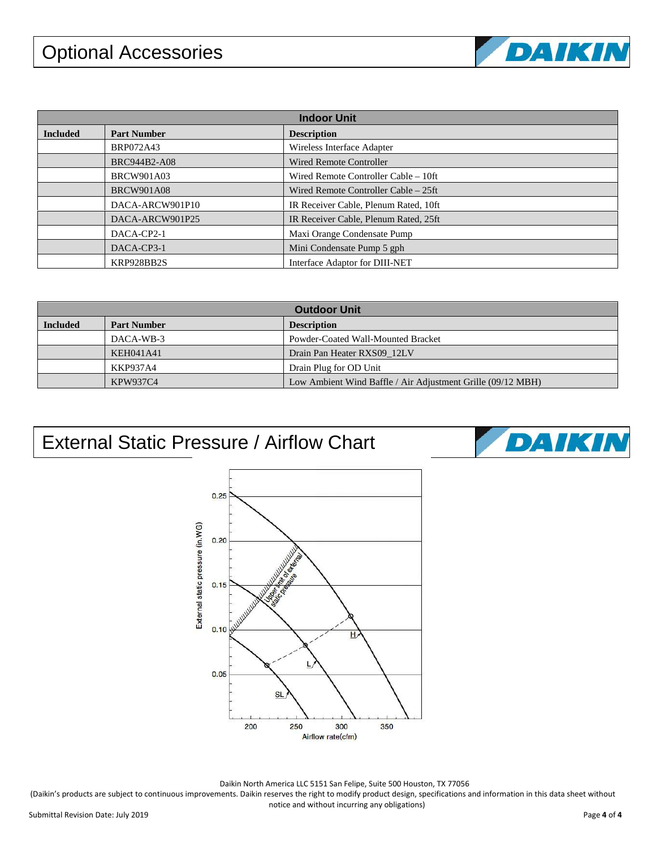# Optional Accessories



DAIKIN

| <b>Indoor Unit</b> |                     |                                       |  |
|--------------------|---------------------|---------------------------------------|--|
| <b>Included</b>    | <b>Part Number</b>  | <b>Description</b>                    |  |
|                    | <b>BRP072A43</b>    | Wireless Interface Adapter            |  |
|                    | <b>BRC944B2-A08</b> | <b>Wired Remote Controller</b>        |  |
|                    | <b>BRCW901A03</b>   | Wired Remote Controller Cable – 10ft  |  |
|                    | <b>BRCW901A08</b>   | Wired Remote Controller Cable – 25ft  |  |
|                    | DACA-ARCW901P10     | IR Receiver Cable, Plenum Rated, 10ft |  |
|                    | DACA-ARCW901P25     | IR Receiver Cable, Plenum Rated, 25ft |  |
|                    | DACA-CP2-1          | Maxi Orange Condensate Pump           |  |
|                    | DACA-CP3-1          | Mini Condensate Pump 5 gph            |  |
|                    | KRP928BB2S          | Interface Adaptor for DIII-NET        |  |

| <b>Outdoor Unit</b> |                    |                                                             |  |
|---------------------|--------------------|-------------------------------------------------------------|--|
| <b>Included</b>     | <b>Part Number</b> | <b>Description</b>                                          |  |
|                     | DACA-WB-3          | Powder-Coated Wall-Mounted Bracket                          |  |
|                     | KEH041A41          | Drain Pan Heater RXS09 12LV                                 |  |
|                     | KKP937A4           | Drain Plug for OD Unit                                      |  |
|                     | KPW937C4           | Low Ambient Wind Baffle / Air Adjustment Grille (09/12 MBH) |  |

## External Static Pressure / Airflow Chart



Daikin North America LLC 5151 San Felipe, Suite 500 Houston, TX 77056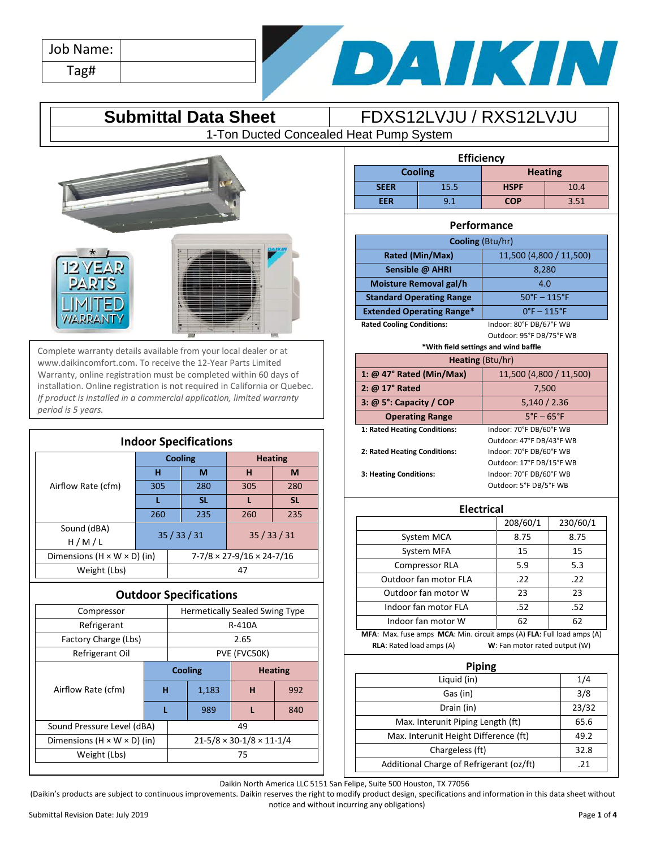| Job Name: |  |
|-----------|--|
| Tag#      |  |



## **Submittal Data Sheet** FDXS12LVJU / RXS12LVJU

1-Ton Ducted Concealed Heat Pump System



Complete warranty details available from your local dealer or at www.daikincomfort.com. To receive the 12-Year Parts Limited Warranty, online registration must be completed within 60 days of installation. Online registration is not required in California or Quebec. *If product is installed in a commercial application, limited warranty period is 5 years.*

| <b>Indoor Specifications</b>            |     |                                       |           |                |           |
|-----------------------------------------|-----|---------------------------------------|-----------|----------------|-----------|
|                                         |     | <b>Cooling</b>                        |           | <b>Heating</b> |           |
|                                         | н   |                                       | M         | н              | M         |
| Airflow Rate (cfm)                      | 305 |                                       | 280       | 305            | 280       |
|                                         |     |                                       | <b>SL</b> |                | <b>SL</b> |
|                                         | 260 |                                       | 235       | 260            | 235       |
| Sound (dBA)                             |     |                                       | 35/33/31  | 35/33/31       |           |
| H/M/L                                   |     |                                       |           |                |           |
| Dimensions $(H \times W \times D)$ (in) |     | $7-7/8 \times 27-9/16 \times 24-7/16$ |           |                |           |
| Weight (Lbs)                            |     |                                       |           | 47             |           |

## **Outdoor Specifications**

| Compressor                              |   | <b>Hermetically Sealed Swing Type</b>      |              |                |     |
|-----------------------------------------|---|--------------------------------------------|--------------|----------------|-----|
| Refrigerant                             |   | R-410A                                     |              |                |     |
| Factory Charge (Lbs)                    |   | 2.65                                       |              |                |     |
| Refrigerant Oil                         |   |                                            | PVE (FVC50K) |                |     |
| Airflow Rate (cfm)                      |   | <b>Cooling</b>                             |              | <b>Heating</b> |     |
|                                         | н |                                            | 1,183        | н              | 992 |
|                                         | L |                                            | 989          |                | 840 |
| Sound Pressure Level (dBA)              |   | 49                                         |              |                |     |
| Dimensions $(H \times W \times D)$ (in) |   | $21 - 5/8 \times 30 - 1/8 \times 11 - 1/4$ |              |                |     |
| Weight (Lbs)                            |   | 75                                         |              |                |     |
|                                         |   |                                            |              |                |     |

| <b>Efficiency</b> |      |                |      |
|-------------------|------|----------------|------|
| <b>Cooling</b>    |      | <b>Heating</b> |      |
| <b>SEER</b>       | 15.5 | <b>HSPF</b>    | 10.4 |
| EER               | 9.1  | <b>COP</b>     | 3.51 |

## **Performance Cooling** (Btu/hr) **Rated (Min/Max)** 11,500 (4,800 / 11,500) **Sensible @ AHRI** 8,280 **Moisture Removal gal/h**  4.0 **Standard Operating Range Fig. 30°F** – 115°F **Extended Operating Range\*** 0°F – 115°F **Rated Cooling Conditions:** Indoor: 80°F DB/67°F WB

Outdoor: 95°F DB/75°F WB

**\*With field settings and wind baffle**

| <b>WILD HERE SELLINGS AND WHILE BUILD</b> |                                 |  |
|-------------------------------------------|---------------------------------|--|
| <b>Heating (Btu/hr)</b>                   |                                 |  |
| 1: @ 47° Rated (Min/Max)                  | 11,500 (4,800 / 11,500)         |  |
| 2: $@17°$ Rated                           | 7,500                           |  |
| 3: $@5$ <sup>o</sup> : Capacity / COP     | 5,140/2.36                      |  |
| <b>Operating Range</b>                    | $5^{\circ}$ F – 65 $^{\circ}$ F |  |
| 1: Rated Heating Conditions:              | Indoor: 70°F DB/60°F WB         |  |
|                                           | Outdoor: 47°F DB/43°F WB        |  |
| 2: Rated Heating Conditions:              | Indoor: 70°F DB/60°F WB         |  |
|                                           | Outdoor: 17°F DB/15°F WB        |  |
| 3: Heating Conditions:                    | Indoor: 70°F DB/60°F WB         |  |
|                                           | Outdoor: 5°F DB/5°F WB          |  |

| <b>Electrical</b>                                                      |                               |          |  |
|------------------------------------------------------------------------|-------------------------------|----------|--|
|                                                                        | 208/60/1                      | 230/60/1 |  |
| System MCA                                                             | 8.75                          | 8.75     |  |
| System MFA                                                             | 15                            | 15       |  |
| <b>Compressor RLA</b>                                                  | 5.9                           | 5.3      |  |
| Outdoor fan motor FLA                                                  | .22                           | .22      |  |
| Outdoor fan motor W                                                    | 23                            | 23       |  |
| Indoor fan motor FLA                                                   | .52                           | .52      |  |
| Indoor fan motor W                                                     | 62                            | 62       |  |
| MFA: Max. fuse amps MCA: Min. circuit amps (A) FLA: Full load amps (A) |                               |          |  |
| <b>RLA:</b> Rated load amps (A)                                        | W: Fan motor rated output (W) |          |  |

| <b>Piping</b>                            |       |  |  |
|------------------------------------------|-------|--|--|
| Liquid (in)                              | 1/4   |  |  |
| Gas (in)                                 | 3/8   |  |  |
| Drain (in)                               | 23/32 |  |  |
| Max. Interunit Piping Length (ft)        | 65.6  |  |  |
| Max. Interunit Height Difference (ft)    | 49.2  |  |  |
| Chargeless (ft)                          | 32.8  |  |  |
| Additional Charge of Refrigerant (oz/ft) | 21    |  |  |

Daikin North America LLC 5151 San Felipe, Suite 500 Houston, TX 77056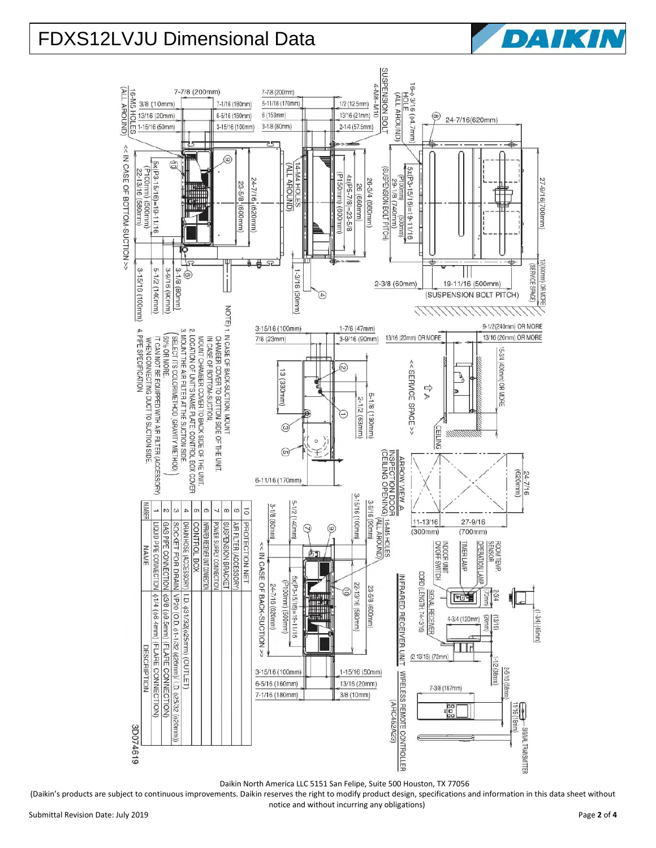# FDXS12LVJU Dimensional Data



Daikin North America LLC 5151 San Felipe, Suite 500 Houston, TX 77056

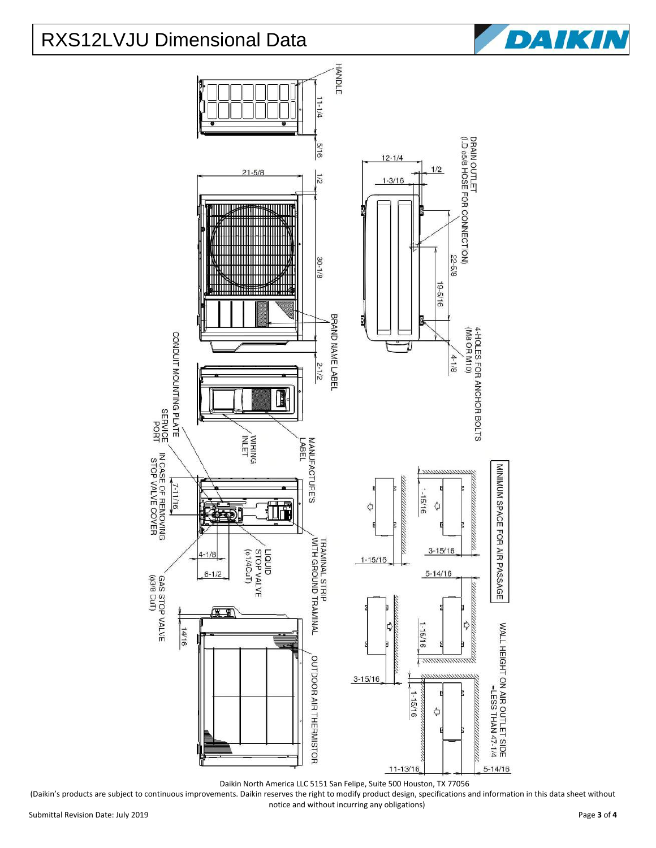## RXS12LVJU Dimensional Data





Daikin North America LLC 5151 San Felipe, Suite 500 Houston, TX 77056